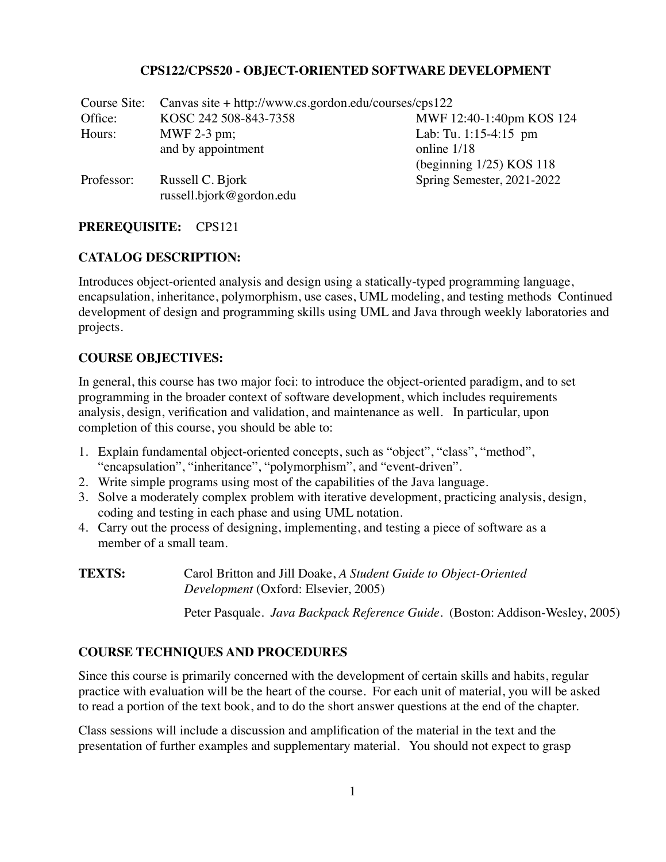#### **CPS122/CPS520 - OBJECT-ORIENTED SOFTWARE DEVELOPMENT**

| Course Site: | Canvas site + http://www.cs.gordon.edu/courses/cps122 |                             |
|--------------|-------------------------------------------------------|-----------------------------|
| Office:      | KOSC 242 508-843-7358                                 | MWF 12:40-1:40pm KOS 124    |
| Hours:       | MWF 2-3 pm;                                           | Lab: Tu. 1:15-4:15 pm       |
|              | and by appointment                                    | online 1/18                 |
|              |                                                       | (beginning $1/25$ ) KOS 118 |
| Professor:   | Russell C. Bjork                                      | Spring Semester, 2021-2022  |
|              | russell.bjork@gordon.edu                              |                             |

# **PREREQUISITE:** CPS121

#### **CATALOG DESCRIPTION:**

Introduces object-oriented analysis and design using a statically-typed programming language, encapsulation, inheritance, polymorphism, use cases, UML modeling, and testing methods Continued development of design and programming skills using UML and Java through weekly laboratories and projects.

## **COURSE OBJECTIVES:**

In general, this course has two major foci: to introduce the object-oriented paradigm, and to set programming in the broader context of software development, which includes requirements analysis, design, verification and validation, and maintenance as well. In particular, upon completion of this course, you should be able to:

- 1. Explain fundamental object-oriented concepts, such as "object", "class", "method", "encapsulation", "inheritance", "polymorphism", and "event-driven".
- 2. Write simple programs using most of the capabilities of the Java language.
- 3. Solve a moderately complex problem with iterative development, practicing analysis, design, coding and testing in each phase and using UML notation.
- 4. Carry out the process of designing, implementing, and testing a piece of software as a member of a small team.
- **TEXTS:** Carol Britton and Jill Doake, *A Student Guide to Object-Oriented Development* (Oxford: Elsevier, 2005)

Peter Pasquale. *Java Backpack Reference Guide*. (Boston: Addison-Wesley, 2005)

## **COURSE TECHNIQUES AND PROCEDURES**

Since this course is primarily concerned with the development of certain skills and habits, regular practice with evaluation will be the heart of the course. For each unit of material, you will be asked to read a portion of the text book, and to do the short answer questions at the end of the chapter.

Class sessions will include a discussion and amplification of the material in the text and the presentation of further examples and supplementary material. You should not expect to grasp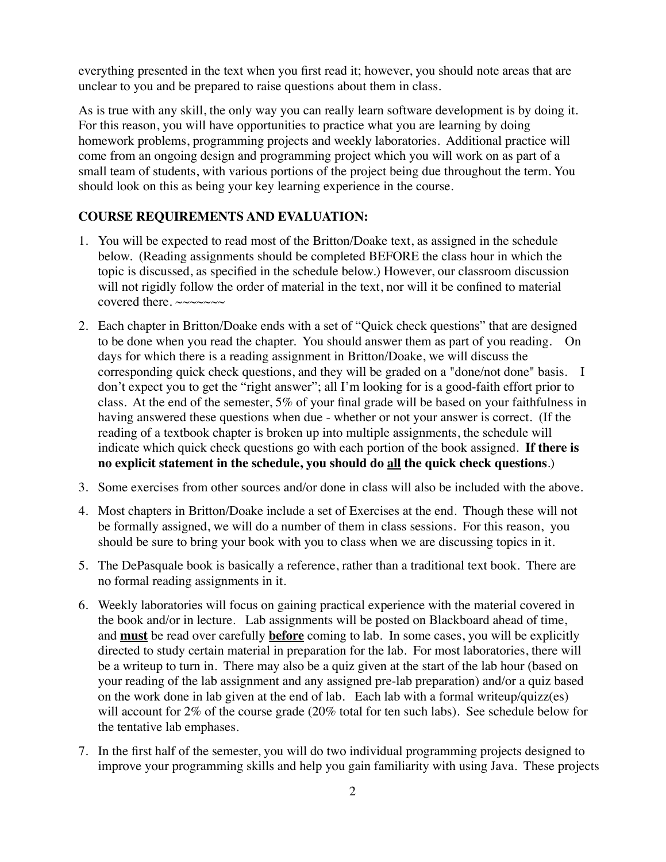everything presented in the text when you first read it; however, you should note areas that are unclear to you and be prepared to raise questions about them in class.

As is true with any skill, the only way you can really learn software development is by doing it. For this reason, you will have opportunities to practice what you are learning by doing homework problems, programming projects and weekly laboratories. Additional practice will come from an ongoing design and programming project which you will work on as part of a small team of students, with various portions of the project being due throughout the term. You should look on this as being your key learning experience in the course.

## **COURSE REQUIREMENTS AND EVALUATION:**

- 1. You will be expected to read most of the Britton/Doake text, as assigned in the schedule below. (Reading assignments should be completed BEFORE the class hour in which the topic is discussed, as specified in the schedule below.) However, our classroom discussion will not rigidly follow the order of material in the text, nor will it be confined to material covered there. ~~~~~~~
- 2. Each chapter in Britton/Doake ends with a set of "Quick check questions" that are designed to be done when you read the chapter. You should answer them as part of you reading. On days for which there is a reading assignment in Britton/Doake, we will discuss the corresponding quick check questions, and they will be graded on a "done/not done" basis. I don't expect you to get the "right answer"; all I'm looking for is a good-faith effort prior to class. At the end of the semester, 5% of your final grade will be based on your faithfulness in having answered these questions when due - whether or not your answer is correct. (If the reading of a textbook chapter is broken up into multiple assignments, the schedule will indicate which quick check questions go with each portion of the book assigned. **If there is no explicit statement in the schedule, you should do all the quick check questions**.)
- 3. Some exercises from other sources and/or done in class will also be included with the above.
- 4. Most chapters in Britton/Doake include a set of Exercises at the end. Though these will not be formally assigned, we will do a number of them in class sessions. For this reason, you should be sure to bring your book with you to class when we are discussing topics in it.
- 5. The DePasquale book is basically a reference, rather than a traditional text book. There are no formal reading assignments in it.
- 6. Weekly laboratories will focus on gaining practical experience with the material covered in the book and/or in lecture. Lab assignments will be posted on Blackboard ahead of time, and **must** be read over carefully **before** coming to lab. In some cases, you will be explicitly directed to study certain material in preparation for the lab. For most laboratories, there will be a writeup to turn in. There may also be a quiz given at the start of the lab hour (based on your reading of the lab assignment and any assigned pre-lab preparation) and/or a quiz based on the work done in lab given at the end of lab. Each lab with a formal writeup/quizz(es) will account for 2% of the course grade (20% total for ten such labs). See schedule below for the tentative lab emphases.
- 7. In the first half of the semester, you will do two individual programming projects designed to improve your programming skills and help you gain familiarity with using Java. These projects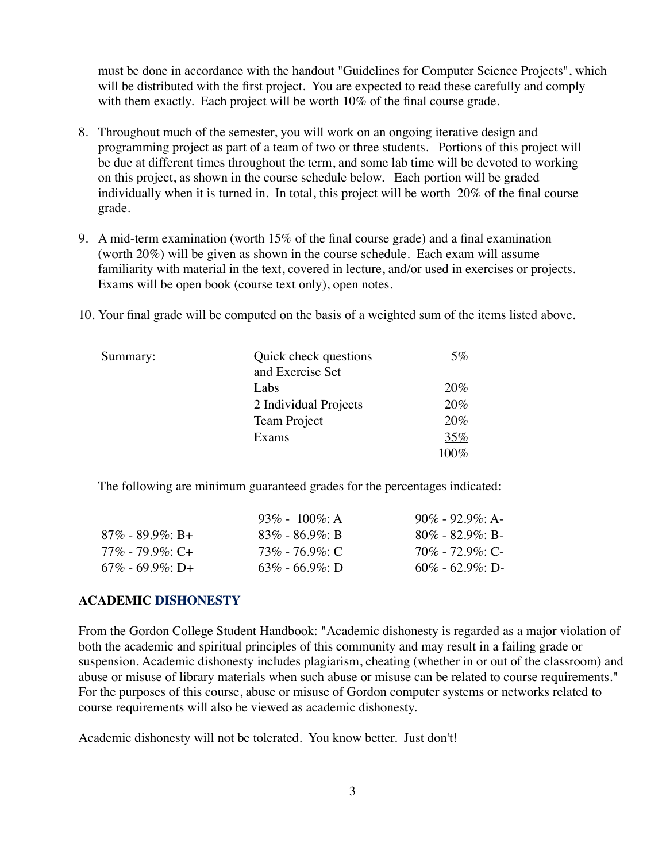must be done in accordance with the handout "Guidelines for Computer Science Projects", which will be distributed with the first project. You are expected to read these carefully and comply with them exactly. Each project will be worth 10% of the final course grade.

- 8. Throughout much of the semester, you will work on an ongoing iterative design and programming project as part of a team of two or three students. Portions of this project will be due at different times throughout the term, and some lab time will be devoted to working on this project, as shown in the course schedule below. Each portion will be graded individually when it is turned in. In total, this project will be worth 20% of the final course grade.
- 9. A mid-term examination (worth 15% of the final course grade) and a final examination (worth 20%) will be given as shown in the course schedule. Each exam will assume familiarity with material in the text, covered in lecture, and/or used in exercises or projects. Exams will be open book (course text only), open notes.
- 10. Your final grade will be computed on the basis of a weighted sum of the items listed above.

| Summary: | Quick check questions | $5\%$ |
|----------|-----------------------|-------|
|          | and Exercise Set      |       |
|          | Labs                  | 20%   |
|          | 2 Individual Projects | 20%   |
|          | Team Project          | 20%   |
|          | Exams                 | 35%   |
|          |                       | 100%  |

The following are minimum guaranteed grades for the percentages indicated:

|                 | 93\% - 100\%: A         | $90\% - 92.9\% \cdot A$ |
|-----------------|-------------------------|-------------------------|
| 87% - 89.9%: B+ | $83\% - 86.9\% \cdot R$ | $80\% - 82.9\%$ : B-    |
| 77% - 79.9%: C+ | 73% - 76.9%: C          | $70\%$ - $72.9\%$ : C-  |
| 67% - 69.9%: D+ | $63\%$ - 66.9%: D       | $60\% - 62.9\%$ : D-    |

#### **ACADEMIC DISHONESTY**

From the Gordon College Student Handbook: "Academic dishonesty is regarded as a major violation of both the academic and spiritual principles of this community and may result in a failing grade or suspension. Academic dishonesty includes plagiarism, cheating (whether in or out of the classroom) and abuse or misuse of library materials when such abuse or misuse can be related to course requirements." For the purposes of this course, abuse or misuse of Gordon computer systems or networks related to course requirements will also be viewed as academic dishonesty.

Academic dishonesty will not be tolerated. You know better. Just don't!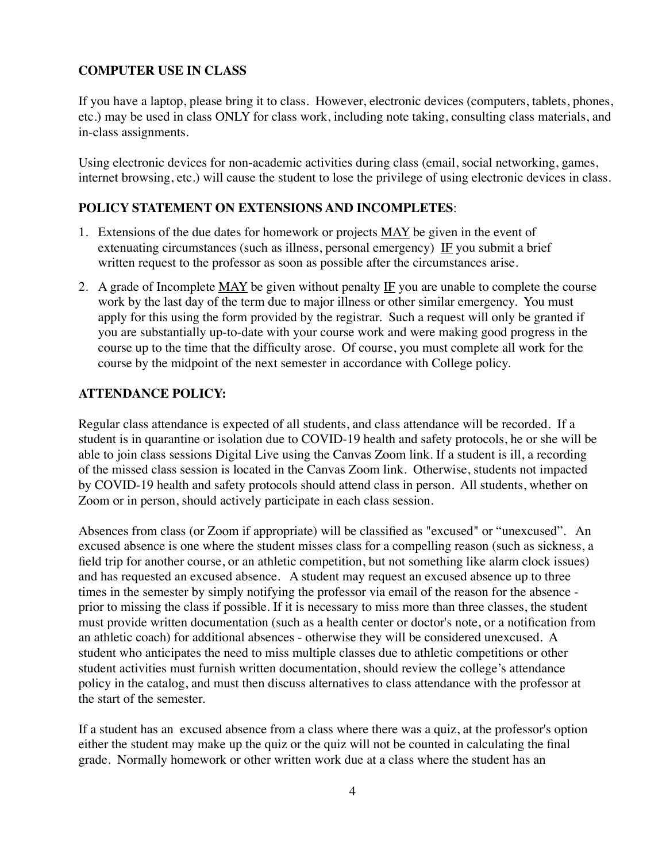#### **COMPUTER USE IN CLASS**

If you have a laptop, please bring it to class. However, electronic devices (computers, tablets, phones, etc.) may be used in class ONLY for class work, including note taking, consulting class materials, and in-class assignments.

Using electronic devices for non-academic activities during class (email, social networking, games, internet browsing, etc.) will cause the student to lose the privilege of using electronic devices in class.

#### **POLICY STATEMENT ON EXTENSIONS AND INCOMPLETES**:

- 1. Extensions of the due dates for homework or projects MAY be given in the event of extenuating circumstances (such as illness, personal emergency) IF you submit a brief written request to the professor as soon as possible after the circumstances arise.
- 2. A grade of Incomplete MAY be given without penalty IF you are unable to complete the course work by the last day of the term due to major illness or other similar emergency. You must apply for this using the form provided by the registrar. Such a request will only be granted if you are substantially up-to-date with your course work and were making good progress in the course up to the time that the difficulty arose. Of course, you must complete all work for the course by the midpoint of the next semester in accordance with College policy.

#### **ATTENDANCE POLICY:**

Regular class attendance is expected of all students, and class attendance will be recorded. If a student is in quarantine or isolation due to COVID-19 health and safety protocols, he or she will be able to join class sessions Digital Live using the Canvas Zoom link. If a student is ill, a recording of the missed class session is located in the Canvas Zoom link. Otherwise, students not impacted by COVID-19 health and safety protocols should attend class in person. All students, whether on Zoom or in person, should actively participate in each class session.

Absences from class (or Zoom if appropriate) will be classified as "excused" or "unexcused". An excused absence is one where the student misses class for a compelling reason (such as sickness, a field trip for another course, or an athletic competition, but not something like alarm clock issues) and has requested an excused absence. A student may request an excused absence up to three times in the semester by simply notifying the professor via email of the reason for the absence prior to missing the class if possible. If it is necessary to miss more than three classes, the student must provide written documentation (such as a health center or doctor's note, or a notification from an athletic coach) for additional absences - otherwise they will be considered unexcused. A student who anticipates the need to miss multiple classes due to athletic competitions or other student activities must furnish written documentation, should review the college's attendance policy in the catalog, and must then discuss alternatives to class attendance with the professor at the start of the semester.

If a student has an excused absence from a class where there was a quiz, at the professor's option either the student may make up the quiz or the quiz will not be counted in calculating the final grade. Normally homework or other written work due at a class where the student has an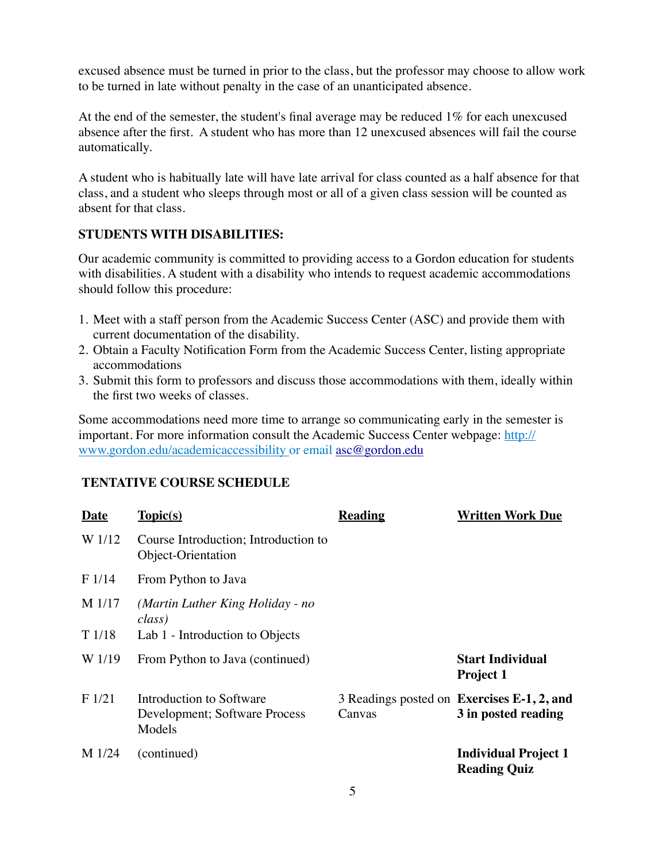excused absence must be turned in prior to the class, but the professor may choose to allow work to be turned in late without penalty in the case of an unanticipated absence.

At the end of the semester, the student's final average may be reduced 1% for each unexcused absence after the first. A student who has more than 12 unexcused absences will fail the course automatically.

A student who is habitually late will have late arrival for class counted as a half absence for that class, and a student who sleeps through most or all of a given class session will be counted as absent for that class.

#### **STUDENTS WITH DISABILITIES:**

Our academic community is committed to providing access to a Gordon education for students with disabilities. A student with a disability who intends to request academic accommodations should follow this procedure:

- 1. Meet with a staff person from the Academic Success Center (ASC) and provide them with current documentation of the disability.
- 2. Obtain a Faculty Notification Form from the Academic Success Center, listing appropriate accommodations
- 3. Submit this form to professors and discuss those accommodations with them, ideally within the first two weeks of classes.

Some accommodations need more time to arrange so communicating early in the semester is important. For more information consult the Academic Success Center webpage: [http://](http://www.gordon.edu/academicaccessibility) [www.gordon.edu/academicaccessibility](http://www.gordon.edu/academicaccessibility) or email [asc@gordon.edu](mailto:asc@gordon.edu)

## **TENTATIVE COURSE SCHEDULE**

| <b>Date</b> | Topic(s)                                                            | <b>Reading</b> | <b>Written Work Due</b>                                           |
|-------------|---------------------------------------------------------------------|----------------|-------------------------------------------------------------------|
| W 1/12      | Course Introduction; Introduction to<br>Object-Orientation          |                |                                                                   |
| F 1/14      | From Python to Java                                                 |                |                                                                   |
| M 1/17      | (Martin Luther King Holiday - no<br>class)                          |                |                                                                   |
| T1/18       | Lab 1 - Introduction to Objects                                     |                |                                                                   |
| W 1/19      | From Python to Java (continued)                                     |                | <b>Start Individual</b><br><b>Project 1</b>                       |
| F1/21       | Introduction to Software<br>Development; Software Process<br>Models | Canvas         | 3 Readings posted on Exercises E-1, 2, and<br>3 in posted reading |
| M 1/24      | (continued)                                                         |                | <b>Individual Project 1</b><br><b>Reading Quiz</b>                |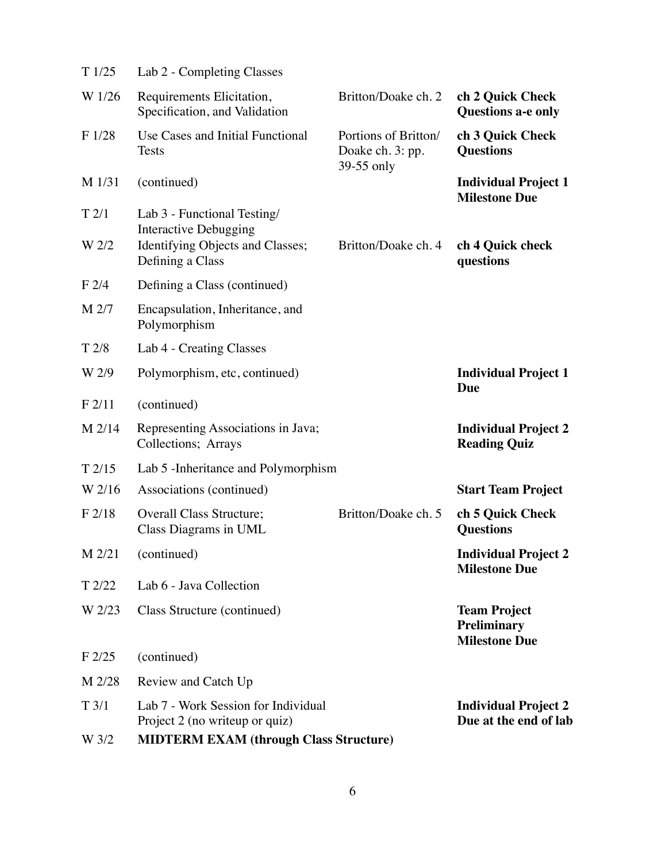| T1/25            | Lab 2 - Completing Classes                                             |                                                        |                                                                   |
|------------------|------------------------------------------------------------------------|--------------------------------------------------------|-------------------------------------------------------------------|
| W 1/26           | Requirements Elicitation,<br>Specification, and Validation             | Britton/Doake ch. 2                                    | ch 2 Quick Check<br><b>Questions a-e only</b>                     |
| F1/28            | Use Cases and Initial Functional<br><b>Tests</b>                       | Portions of Britton/<br>Doake ch. 3: pp.<br>39-55 only | ch 3 Quick Check<br><b>Questions</b>                              |
| M 1/31           | (continued)                                                            |                                                        | <b>Individual Project 1</b><br><b>Milestone Due</b>               |
| T2/1             | Lab 3 - Functional Testing/<br><b>Interactive Debugging</b>            |                                                        |                                                                   |
| W 2/2            | Identifying Objects and Classes;<br>Defining a Class                   | Britton/Doake ch. 4                                    | ch 4 Quick check<br>questions                                     |
| F2/4             | Defining a Class (continued)                                           |                                                        |                                                                   |
| M 2/7            | Encapsulation, Inheritance, and<br>Polymorphism                        |                                                        |                                                                   |
| T <sub>2/8</sub> | Lab 4 - Creating Classes                                               |                                                        |                                                                   |
| W 2/9            | Polymorphism, etc, continued)                                          |                                                        | <b>Individual Project 1</b><br>Due                                |
| F2/11            | (continued)                                                            |                                                        |                                                                   |
| M 2/14           | Representing Associations in Java;<br>Collections; Arrays              |                                                        | <b>Individual Project 2</b><br><b>Reading Quiz</b>                |
| T2/15            | Lab 5 - Inheritance and Polymorphism                                   |                                                        |                                                                   |
| W 2/16           | Associations (continued)                                               |                                                        | <b>Start Team Project</b>                                         |
| F2/18            | <b>Overall Class Structure;</b><br>Class Diagrams in UML               | Britton/Doake ch. 5                                    | ch 5 Quick Check<br><b>Questions</b>                              |
| M 2/21           | (continued)                                                            |                                                        | <b>Individual Project 2</b><br><b>Milestone Due</b>               |
| T2/22            | Lab 6 - Java Collection                                                |                                                        |                                                                   |
| W 2/23           | Class Structure (continued)                                            |                                                        | <b>Team Project</b><br><b>Preliminary</b><br><b>Milestone Due</b> |
| F2/25            | (continued)                                                            |                                                        |                                                                   |
| M 2/28           | Review and Catch Up                                                    |                                                        |                                                                   |
| T3/1             | Lab 7 - Work Session for Individual<br>Project 2 (no write up or quiz) |                                                        | <b>Individual Project 2</b><br>Due at the end of lab              |
| W 3/2            | <b>MIDTERM EXAM (through Class Structure)</b>                          |                                                        |                                                                   |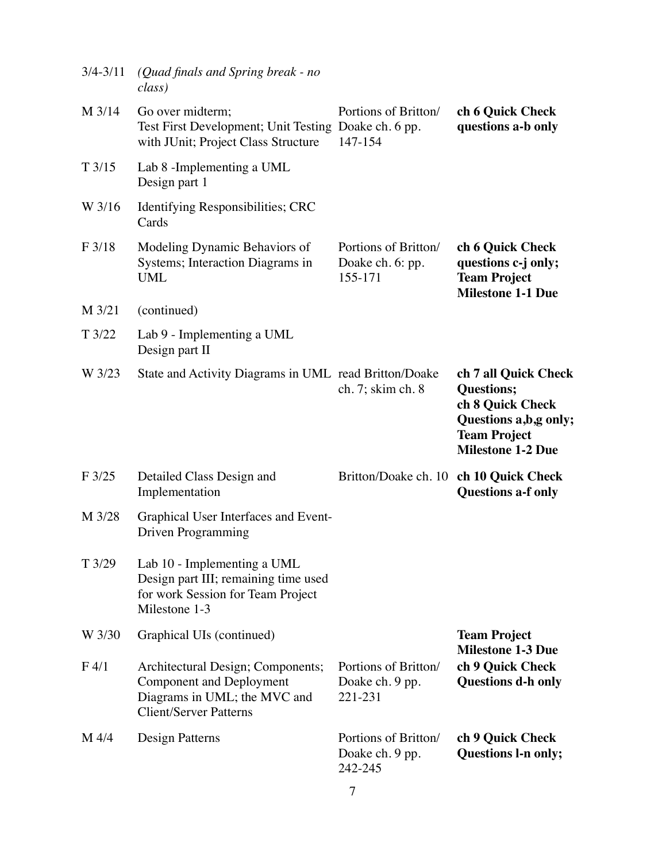| $3/4 - 3/11$     | (Quad finals and Spring break - no<br>class)                                                                                          |                                                     |                                                                                                                                           |
|------------------|---------------------------------------------------------------------------------------------------------------------------------------|-----------------------------------------------------|-------------------------------------------------------------------------------------------------------------------------------------------|
| M 3/14           | Go over midterm;<br>Test First Development; Unit Testing Doake ch. 6 pp.<br>with JUnit; Project Class Structure                       | Portions of Britton/<br>147-154                     | ch 6 Quick Check<br>questions a-b only                                                                                                    |
| T3/15            | Lab 8 - Implementing a UML<br>Design part 1                                                                                           |                                                     |                                                                                                                                           |
| W 3/16           | Identifying Responsibilities; CRC<br>Cards                                                                                            |                                                     |                                                                                                                                           |
| F3/18            | Modeling Dynamic Behaviors of<br>Systems; Interaction Diagrams in<br><b>UML</b>                                                       | Portions of Britton/<br>Doake ch. 6: pp.<br>155-171 | ch 6 Quick Check<br>questions c-j only;<br><b>Team Project</b><br><b>Milestone 1-1 Due</b>                                                |
| M 3/21           | (continued)                                                                                                                           |                                                     |                                                                                                                                           |
| T3/22            | Lab 9 - Implementing a UML<br>Design part II                                                                                          |                                                     |                                                                                                                                           |
| W 3/23           | State and Activity Diagrams in UML read Britton/Doake                                                                                 | ch. 7; skim ch. 8                                   | ch 7 all Quick Check<br><b>Questions;</b><br>ch 8 Quick Check<br>Questions a,b,g only;<br><b>Team Project</b><br><b>Milestone 1-2 Due</b> |
| F3/25            | Detailed Class Design and<br>Implementation                                                                                           | Britton/Doake ch. 10                                | ch 10 Quick Check<br><b>Questions a-f only</b>                                                                                            |
| M 3/28           | Graphical User Interfaces and Event-<br><b>Driven Programming</b>                                                                     |                                                     |                                                                                                                                           |
| T3/29            | Lab 10 - Implementing a UML<br>Design part III; remaining time used<br>for work Session for Team Project<br>Milestone 1-3             |                                                     |                                                                                                                                           |
| W 3/30           | Graphical UIs (continued)                                                                                                             |                                                     | <b>Team Project</b>                                                                                                                       |
| F <sub>4/1</sub> | Architectural Design; Components;<br><b>Component and Deployment</b><br>Diagrams in UML; the MVC and<br><b>Client/Server Patterns</b> | Portions of Britton/<br>Doake ch. 9 pp.<br>221-231  | <b>Milestone 1-3 Due</b><br>ch 9 Quick Check<br><b>Questions d-h only</b>                                                                 |
| M 4/4            | Design Patterns                                                                                                                       | Portions of Britton/<br>Doake ch. 9 pp.<br>242-245  | ch 9 Quick Check<br><b>Questions l-n only;</b>                                                                                            |
|                  |                                                                                                                                       |                                                     |                                                                                                                                           |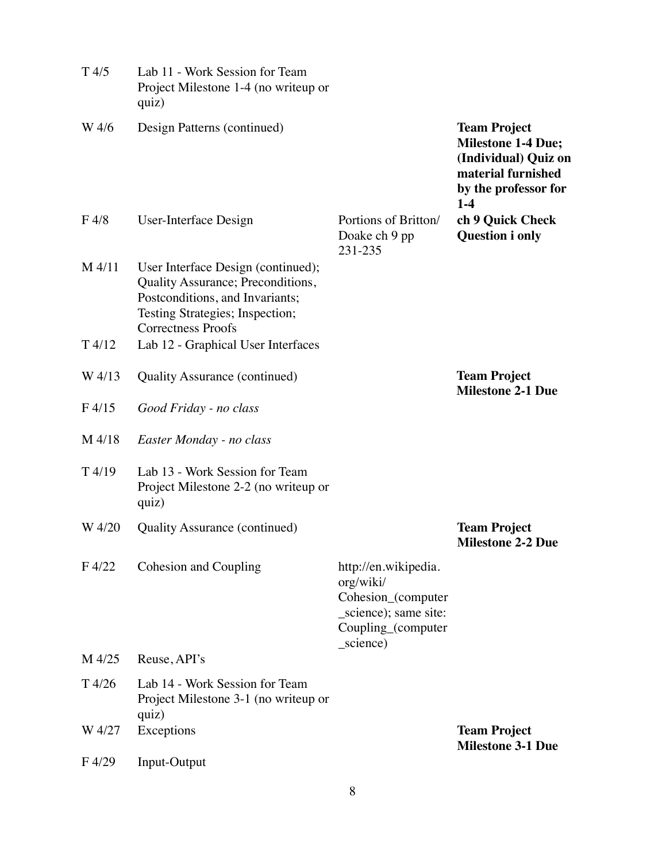| T4/5              | Lab 11 - Work Session for Team<br>Project Milestone 1-4 (no writeup or<br>quiz)                                                                                            |                                                                                                                     |                                                                                                                                 |
|-------------------|----------------------------------------------------------------------------------------------------------------------------------------------------------------------------|---------------------------------------------------------------------------------------------------------------------|---------------------------------------------------------------------------------------------------------------------------------|
| W 4/6             | Design Patterns (continued)                                                                                                                                                |                                                                                                                     | <b>Team Project</b><br><b>Milestone 1-4 Due;</b><br>(Individual) Quiz on<br>material furnished<br>by the professor for<br>$1-4$ |
| F <sub>4/8</sub>  | User-Interface Design                                                                                                                                                      | Portions of Britton/<br>Doake ch 9 pp<br>231-235                                                                    | ch 9 Quick Check<br><b>Question i only</b>                                                                                      |
| M 4/11            | User Interface Design (continued);<br>Quality Assurance; Preconditions,<br>Postconditions, and Invariants;<br>Testing Strategies; Inspection;<br><b>Correctness Proofs</b> |                                                                                                                     |                                                                                                                                 |
| T4/12             | Lab 12 - Graphical User Interfaces                                                                                                                                         |                                                                                                                     |                                                                                                                                 |
| W 4/13            | <b>Quality Assurance (continued)</b>                                                                                                                                       |                                                                                                                     | <b>Team Project</b><br><b>Milestone 2-1 Due</b>                                                                                 |
| F <sub>4/15</sub> | Good Friday - no class                                                                                                                                                     |                                                                                                                     |                                                                                                                                 |
| M 4/18            | Easter Monday - no class                                                                                                                                                   |                                                                                                                     |                                                                                                                                 |
| T4/19             | Lab 13 - Work Session for Team<br>Project Milestone 2-2 (no writeup or<br>quiz)                                                                                            |                                                                                                                     |                                                                                                                                 |
| W 4/20            | <b>Quality Assurance (continued)</b>                                                                                                                                       |                                                                                                                     | <b>Team Project</b><br><b>Milestone 2-2 Due</b>                                                                                 |
| F 4/22            | Cohesion and Coupling                                                                                                                                                      | http://en.wikipedia.<br>org/wiki/<br>Cohesion_(computer<br>_science); same site:<br>Coupling_(computer<br>_science) |                                                                                                                                 |
| M 4/25            | Reuse, API's                                                                                                                                                               |                                                                                                                     |                                                                                                                                 |
| T 4/26            | Lab 14 - Work Session for Team<br>Project Milestone 3-1 (no writeup or<br>quiz)                                                                                            |                                                                                                                     |                                                                                                                                 |
| W 4/27            | Exceptions                                                                                                                                                                 |                                                                                                                     | <b>Team Project</b><br><b>Milestone 3-1 Due</b>                                                                                 |
| F 4/29            | Input-Output                                                                                                                                                               |                                                                                                                     |                                                                                                                                 |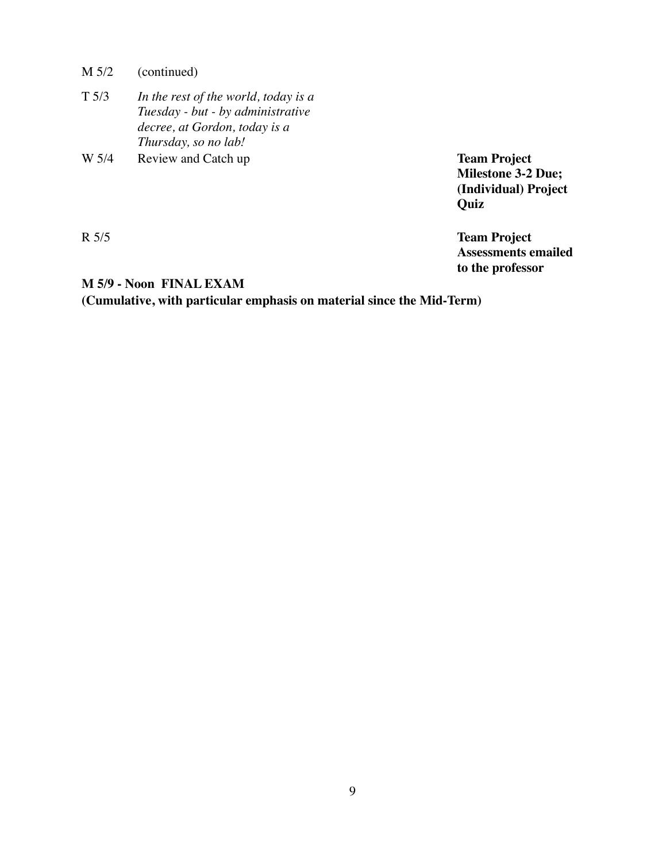M 5/2 (continued)

| $T\,5/3$ | In the rest of the world, today is a |
|----------|--------------------------------------|
|          | Tuesday - but - by administrative    |
|          | decree, at Gordon, today is a        |
|          | Thursday, so no lab!                 |
|          |                                      |

W 5/4 Review and Catch up **Team Project Team Project** 

**Milestone 3-2 Due; (Individual) Project Quiz**

R 5/5 **Team Project Assessments emailed to the professor**

#### **M 5/9 - Noon FINAL EXAM**

**(Cumulative, with particular emphasis on material since the Mid-Term)**